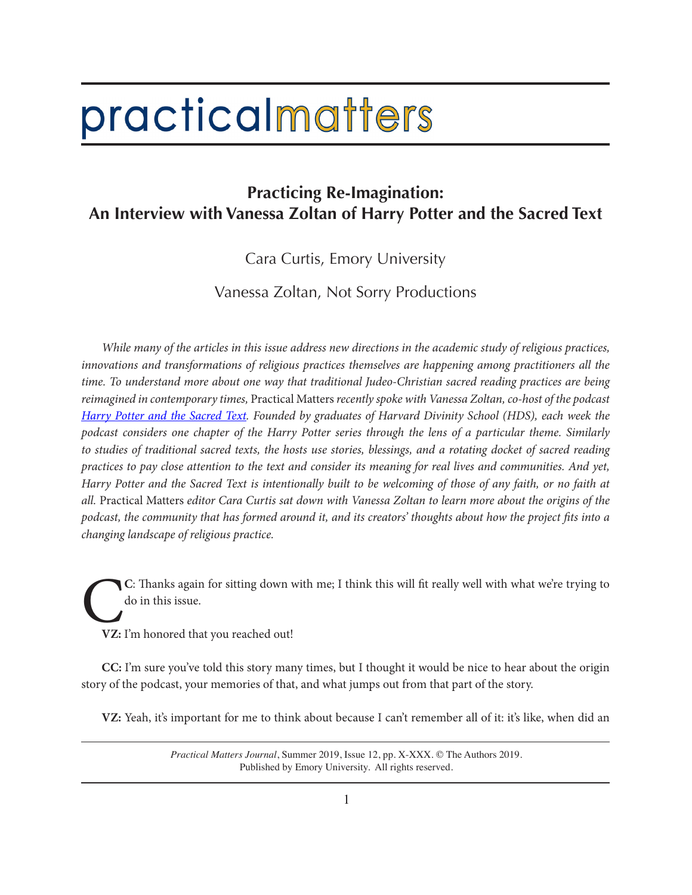## practicalmatters

## **Practicing Re-Imagination: An Interview with Vanessa Zoltan of Harry Potter and the Sacred Text**

Cara Curtis, Emory University

Vanessa Zoltan, Not Sorry Productions

*While many of the articles in this issue address new directions in the academic study of religious practices, innovations and transformations of religious practices themselves are happening among practitioners all the time. To understand more about one way that traditional Judeo-Christian sacred reading practices are being reimagined in contemporary times,* Practical Matters *recently spoke with Vanessa Zoltan, co-host of the podcast Harry Potter and the Sacred Text. Founded by graduates of Harvard Divinity School (HDS), each week the podcast considers one chapter of the Harry Potter series through the lens of a particular theme. Similarly to studies of traditional sacred texts, the hosts use stories, blessings, and a rotating docket of sacred reading practices to pay close attention to the text and consider its meaning for real lives and communities. And yet, Harry Potter and the Sacred Text is intentionally built to be welcoming of those of any faith, or no faith at all.* Practical Matters *editor Cara Curtis sat down with Vanessa Zoltan to learn more about the origins of the podcast, the community that has formed around it, and its creators' thoughts about how the project fits into a changing landscape of religious practice.*

C**<sup>C</sup>**: Thanks again for sitting down with me; I think this will fit really well with what we're trying to do in this issue.

**VZ:** I'm honored that you reached out!

**CC:** I'm sure you've told this story many times, but I thought it would be nice to hear about the origin story of the podcast, your memories of that, and what jumps out from that part of the story.

**VZ:** Yeah, it's important for me to think about because I can't remember all of it: it's like, when did an

*Practical Matters Journal*, Summer 2019, Issue 12, pp. X-XXX. © The Authors 2019. Published by Emory University. All rights reserved.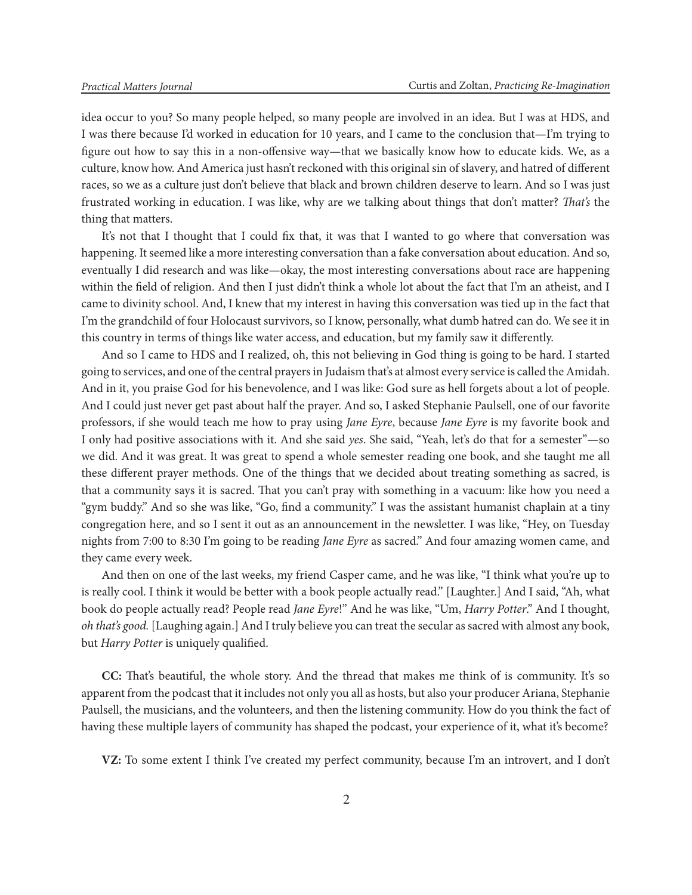idea occur to you? So many people helped, so many people are involved in an idea. But I was at HDS, and I was there because I'd worked in education for 10 years, and I came to the conclusion that—I'm trying to figure out how to say this in a non-offensive way—that we basically know how to educate kids. We, as a culture, know how. And America just hasn't reckoned with this original sin of slavery, and hatred of different races, so we as a culture just don't believe that black and brown children deserve to learn. And so I was just frustrated working in education. I was like, why are we talking about things that don't matter? *That's* the thing that matters.

It's not that I thought that I could fix that, it was that I wanted to go where that conversation was happening. It seemed like a more interesting conversation than a fake conversation about education. And so, eventually I did research and was like—okay, the most interesting conversations about race are happening within the field of religion. And then I just didn't think a whole lot about the fact that I'm an atheist, and I came to divinity school. And, I knew that my interest in having this conversation was tied up in the fact that I'm the grandchild of four Holocaust survivors, so I know, personally, what dumb hatred can do. We see it in this country in terms of things like water access, and education, but my family saw it differently.

And so I came to HDS and I realized, oh, this not believing in God thing is going to be hard. I started going to services, and one of the central prayers in Judaism that's at almost every service is called the Amidah. And in it, you praise God for his benevolence, and I was like: God sure as hell forgets about a lot of people. And I could just never get past about half the prayer. And so, I asked Stephanie Paulsell, one of our favorite professors, if she would teach me how to pray using *Jane Eyre*, because *Jane Eyre* is my favorite book and I only had positive associations with it. And she said *yes*. She said, "Yeah, let's do that for a semester"—so we did. And it was great. It was great to spend a whole semester reading one book, and she taught me all these different prayer methods. One of the things that we decided about treating something as sacred, is that a community says it is sacred. That you can't pray with something in a vacuum: like how you need a "gym buddy." And so she was like, "Go, find a community." I was the assistant humanist chaplain at a tiny congregation here, and so I sent it out as an announcement in the newsletter. I was like, "Hey, on Tuesday nights from 7:00 to 8:30 I'm going to be reading *Jane Eyre* as sacred." And four amazing women came, and they came every week.

And then on one of the last weeks, my friend Casper came, and he was like, "I think what you're up to is really cool. I think it would be better with a book people actually read." [Laughter.] And I said, "Ah, what book do people actually read? People read *Jane Eyre*!" And he was like, "Um, *Harry Potter*." And I thought, *oh that's good.* [Laughing again.] And I truly believe you can treat the secular as sacred with almost any book, but *Harry Potter* is uniquely qualified.

**CC:** That's beautiful, the whole story. And the thread that makes me think of is community. It's so apparent from the podcast that it includes not only you all as hosts, but also your producer Ariana, Stephanie Paulsell, the musicians, and the volunteers, and then the listening community. How do you think the fact of having these multiple layers of community has shaped the podcast, your experience of it, what it's become?

**VZ:** To some extent I think I've created my perfect community, because I'm an introvert, and I don't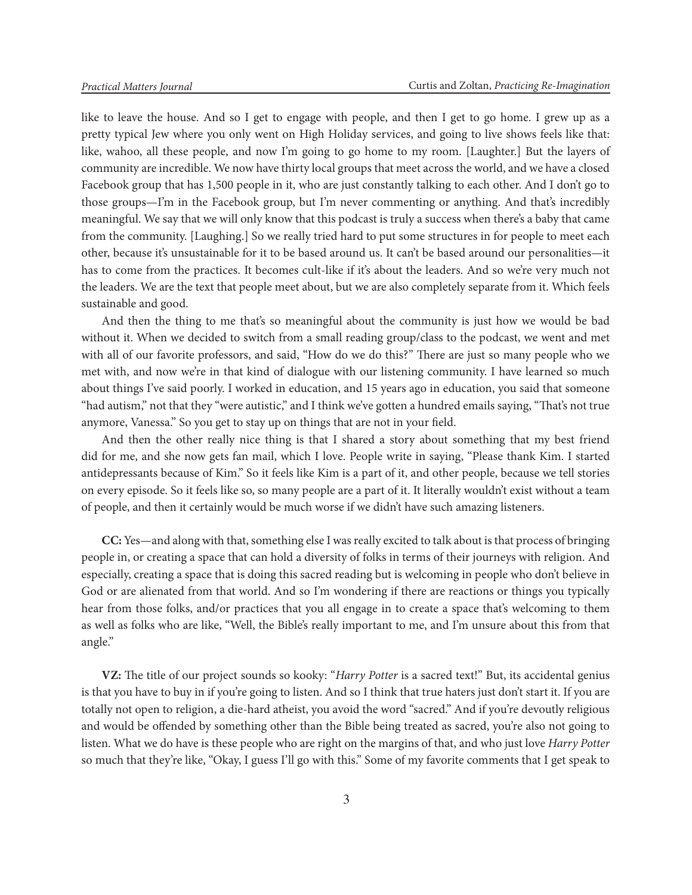like to leave the house. And so I get to engage with people, and then I get to go home. I grew up as a pretty typical Jew where you only went on High Holiday services, and going to live shows feels like that: like, wahoo, all these people, and now I'm going to go home to my room. [Laughter.] But the layers of community are incredible. We now have thirty local groups that meet across the world, and we have a closed Facebook group that has 1,500 people in it, who are just constantly talking to each other. And I don't go to those groups—I'm in the Facebook group, but I'm never commenting or anything. And that's incredibly meaningful. We say that we will only know that this podcast is truly a success when there's a baby that came from the community. [Laughing.] So we really tried hard to put some structures in for people to meet each other, because it's unsustainable for it to be based around us. It can't be based around our personalities—it has to come from the practices. It becomes cult-like if it's about the leaders. And so we're very much not the leaders. We are the text that people meet about, but we are also completely separate from it. Which feels sustainable and good.

And then the thing to me that's so meaningful about the community is just how we would be bad without it. When we decided to switch from a small reading group/class to the podcast, we went and met with all of our favorite professors, and said, "How do we do this?" There are just so many people who we met with, and now we're in that kind of dialogue with our listening community. I have learned so much about things I've said poorly. I worked in education, and 15 years ago in education, you said that someone "had autism," not that they "were autistic," and I think we've gotten a hundred emails saying, "That's not true anymore, Vanessa." So you get to stay up on things that are not in your field.

And then the other really nice thing is that I shared a story about something that my best friend did for me, and she now gets fan mail, which I love. People write in saying, "Please thank Kim. I started antidepressants because of Kim." So it feels like Kim is a part of it, and other people, because we tell stories on every episode. So it feels like so, so many people are a part of it. It literally wouldn't exist without a team of people, and then it certainly would be much worse if we didn't have such amazing listeners.

**CC:** Yes—and along with that, something else I was really excited to talk about is that process of bringing people in, or creating a space that can hold a diversity of folks in terms of their journeys with religion. And especially, creating a space that is doing this sacred reading but is welcoming in people who don't believe in God or are alienated from that world. And so I'm wondering if there are reactions or things you typically hear from those folks, and/or practices that you all engage in to create a space that's welcoming to them as well as folks who are like, "Well, the Bible's really important to me, and I'm unsure about this from that angle."

**VZ:** The title of our project sounds so kooky: "*Harry Potter* is a sacred text!" But, its accidental genius is that you have to buy in if you're going to listen. And so I think that true haters just don't start it. If you are totally not open to religion, a die-hard atheist, you avoid the word "sacred." And if you're devoutly religious and would be offended by something other than the Bible being treated as sacred, you're also not going to listen. What we do have is these people who are right on the margins of that, and who just love *Harry Potter* so much that they're like, "Okay, I guess I'll go with this." Some of my favorite comments that I get speak to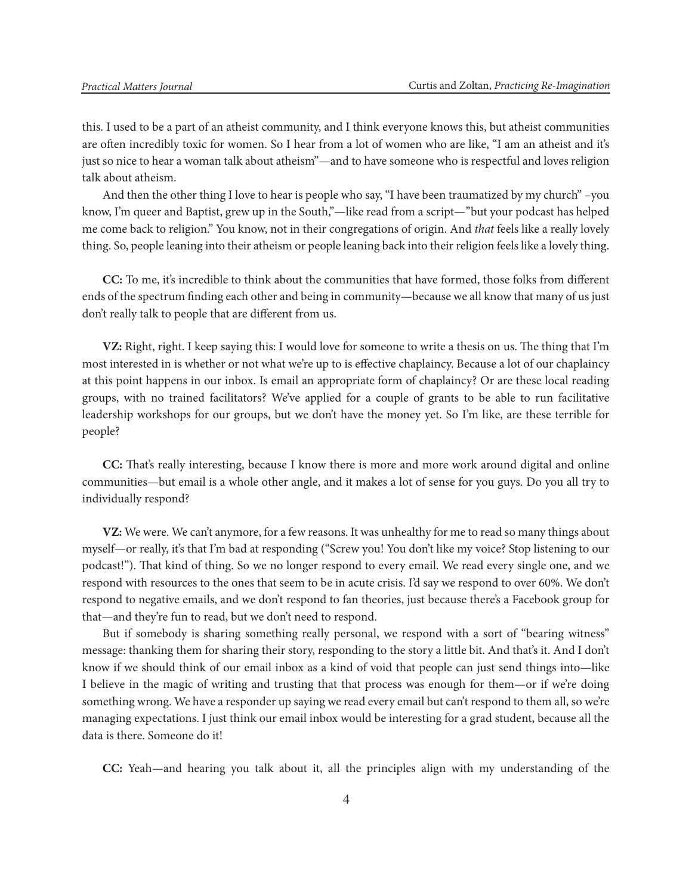this. I used to be a part of an atheist community, and I think everyone knows this, but atheist communities are often incredibly toxic for women. So I hear from a lot of women who are like, "I am an atheist and it's just so nice to hear a woman talk about atheism"—and to have someone who is respectful and loves religion talk about atheism.

And then the other thing I love to hear is people who say, "I have been traumatized by my church" –you know, I'm queer and Baptist, grew up in the South,"—like read from a script—"but your podcast has helped me come back to religion." You know, not in their congregations of origin. And *that* feels like a really lovely thing. So, people leaning into their atheism or people leaning back into their religion feels like a lovely thing.

**CC:** To me, it's incredible to think about the communities that have formed, those folks from different ends of the spectrum finding each other and being in community—because we all know that many of us just don't really talk to people that are different from us.

**VZ:** Right, right. I keep saying this: I would love for someone to write a thesis on us. The thing that I'm most interested in is whether or not what we're up to is effective chaplaincy. Because a lot of our chaplaincy at this point happens in our inbox. Is email an appropriate form of chaplaincy? Or are these local reading groups, with no trained facilitators? We've applied for a couple of grants to be able to run facilitative leadership workshops for our groups, but we don't have the money yet. So I'm like, are these terrible for people?

**CC:** That's really interesting, because I know there is more and more work around digital and online communities—but email is a whole other angle, and it makes a lot of sense for you guys. Do you all try to individually respond?

**VZ:** We were. We can't anymore, for a few reasons. It was unhealthy for me to read so many things about myself—or really, it's that I'm bad at responding ("Screw you! You don't like my voice? Stop listening to our podcast!"). That kind of thing. So we no longer respond to every email. We read every single one, and we respond with resources to the ones that seem to be in acute crisis. I'd say we respond to over 60%. We don't respond to negative emails, and we don't respond to fan theories, just because there's a Facebook group for that—and they're fun to read, but we don't need to respond.

But if somebody is sharing something really personal, we respond with a sort of "bearing witness" message: thanking them for sharing their story, responding to the story a little bit. And that's it. And I don't know if we should think of our email inbox as a kind of void that people can just send things into—like I believe in the magic of writing and trusting that that process was enough for them—or if we're doing something wrong. We have a responder up saying we read every email but can't respond to them all, so we're managing expectations. I just think our email inbox would be interesting for a grad student, because all the data is there. Someone do it!

**CC:** Yeah—and hearing you talk about it, all the principles align with my understanding of the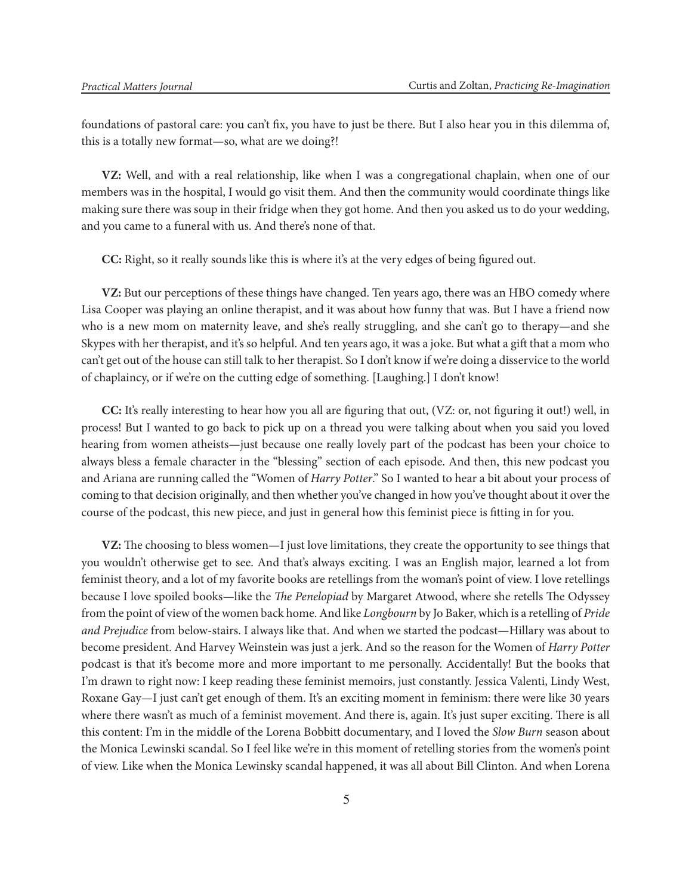foundations of pastoral care: you can't fix, you have to just be there. But I also hear you in this dilemma of, this is a totally new format—so, what are we doing?!

**VZ:** Well, and with a real relationship, like when I was a congregational chaplain, when one of our members was in the hospital, I would go visit them. And then the community would coordinate things like making sure there was soup in their fridge when they got home. And then you asked us to do your wedding, and you came to a funeral with us. And there's none of that.

**CC:** Right, so it really sounds like this is where it's at the very edges of being figured out.

**VZ:** But our perceptions of these things have changed. Ten years ago, there was an HBO comedy where Lisa Cooper was playing an online therapist, and it was about how funny that was. But I have a friend now who is a new mom on maternity leave, and she's really struggling, and she can't go to therapy—and she Skypes with her therapist, and it's so helpful. And ten years ago, it was a joke. But what a gift that a mom who can't get out of the house can still talk to her therapist. So I don't know if we're doing a disservice to the world of chaplaincy, or if we're on the cutting edge of something. [Laughing.] I don't know!

**CC:** It's really interesting to hear how you all are figuring that out, (VZ: or, not figuring it out!) well, in process! But I wanted to go back to pick up on a thread you were talking about when you said you loved hearing from women atheists—just because one really lovely part of the podcast has been your choice to always bless a female character in the "blessing" section of each episode. And then, this new podcast you and Ariana are running called the "Women of *Harry Potter*." So I wanted to hear a bit about your process of coming to that decision originally, and then whether you've changed in how you've thought about it over the course of the podcast, this new piece, and just in general how this feminist piece is fitting in for you.

**VZ:** The choosing to bless women—I just love limitations, they create the opportunity to see things that you wouldn't otherwise get to see. And that's always exciting. I was an English major, learned a lot from feminist theory, and a lot of my favorite books are retellings from the woman's point of view. I love retellings because I love spoiled books—like the *The Penelopiad* by Margaret Atwood, where she retells The Odyssey from the point of view of the women back home. And like *Longbourn* by Jo Baker, which is a retelling of *Pride and Prejudice* from below-stairs. I always like that. And when we started the podcast—Hillary was about to become president. And Harvey Weinstein was just a jerk. And so the reason for the Women of *Harry Potter* podcast is that it's become more and more important to me personally. Accidentally! But the books that I'm drawn to right now: I keep reading these feminist memoirs, just constantly. Jessica Valenti, Lindy West, Roxane Gay—I just can't get enough of them. It's an exciting moment in feminism: there were like 30 years where there wasn't as much of a feminist movement. And there is, again. It's just super exciting. There is all this content: I'm in the middle of the Lorena Bobbitt documentary, and I loved the *Slow Burn* season about the Monica Lewinski scandal. So I feel like we're in this moment of retelling stories from the women's point of view. Like when the Monica Lewinsky scandal happened, it was all about Bill Clinton. And when Lorena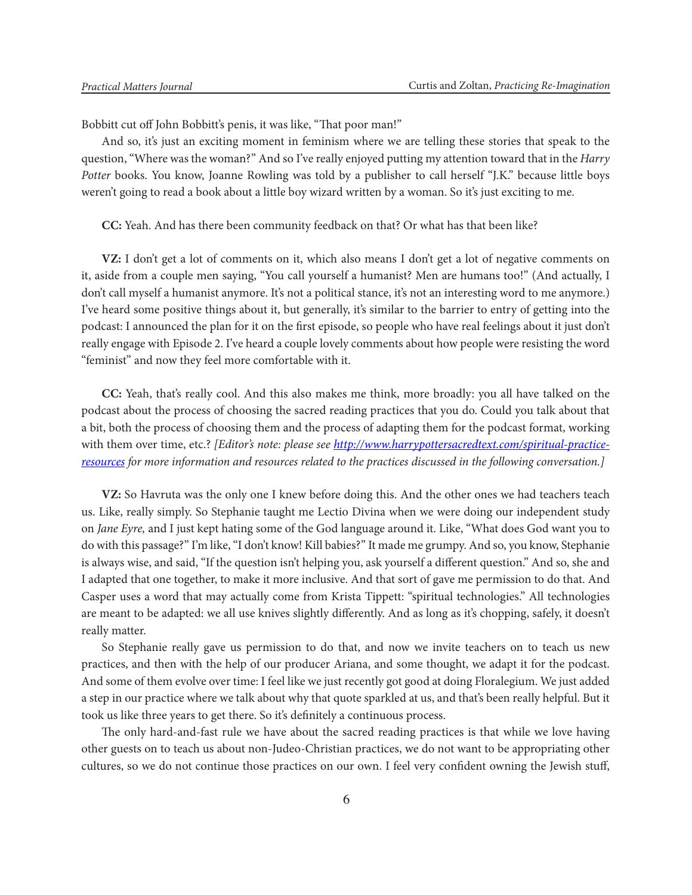Bobbitt cut off John Bobbitt's penis, it was like, "That poor man!"

And so, it's just an exciting moment in feminism where we are telling these stories that speak to the question, "Where was the woman?" And so I've really enjoyed putting my attention toward that in the *Harry Potter* books. You know, Joanne Rowling was told by a publisher to call herself "J.K." because little boys weren't going to read a book about a little boy wizard written by a woman. So it's just exciting to me.

**CC:** Yeah. And has there been community feedback on that? Or what has that been like?

**VZ:** I don't get a lot of comments on it, which also means I don't get a lot of negative comments on it, aside from a couple men saying, "You call yourself a humanist? Men are humans too!" (And actually, I don't call myself a humanist anymore. It's not a political stance, it's not an interesting word to me anymore.) I've heard some positive things about it, but generally, it's similar to the barrier to entry of getting into the podcast: I announced the plan for it on the first episode, so people who have real feelings about it just don't really engage with Episode 2. I've heard a couple lovely comments about how people were resisting the word "feminist" and now they feel more comfortable with it.

**CC:** Yeah, that's really cool. And this also makes me think, more broadly: you all have talked on the podcast about the process of choosing the sacred reading practices that you do. Could you talk about that a bit, both the process of choosing them and the process of adapting them for the podcast format, working with them over time, etc.? *[Editor's note: please see http://www.harrypottersacredtext.com/spiritual-practiceresources for more information and resources related to the practices discussed in the following conversation.]*

**VZ:** So Havruta was the only one I knew before doing this. And the other ones we had teachers teach us. Like, really simply. So Stephanie taught me Lectio Divina when we were doing our independent study on *Jane Eyre,* and I just kept hating some of the God language around it. Like, "What does God want you to do with this passage?" I'm like, "I don't know! Kill babies?" It made me grumpy. And so, you know, Stephanie is always wise, and said, "If the question isn't helping you, ask yourself a different question." And so, she and I adapted that one together, to make it more inclusive. And that sort of gave me permission to do that. And Casper uses a word that may actually come from Krista Tippett: "spiritual technologies." All technologies are meant to be adapted: we all use knives slightly differently. And as long as it's chopping, safely, it doesn't really matter.

So Stephanie really gave us permission to do that, and now we invite teachers on to teach us new practices, and then with the help of our producer Ariana, and some thought, we adapt it for the podcast. And some of them evolve over time: I feel like we just recently got good at doing Floralegium. We just added a step in our practice where we talk about why that quote sparkled at us, and that's been really helpful. But it took us like three years to get there. So it's definitely a continuous process.

The only hard-and-fast rule we have about the sacred reading practices is that while we love having other guests on to teach us about non-Judeo-Christian practices, we do not want to be appropriating other cultures, so we do not continue those practices on our own. I feel very confident owning the Jewish stuff,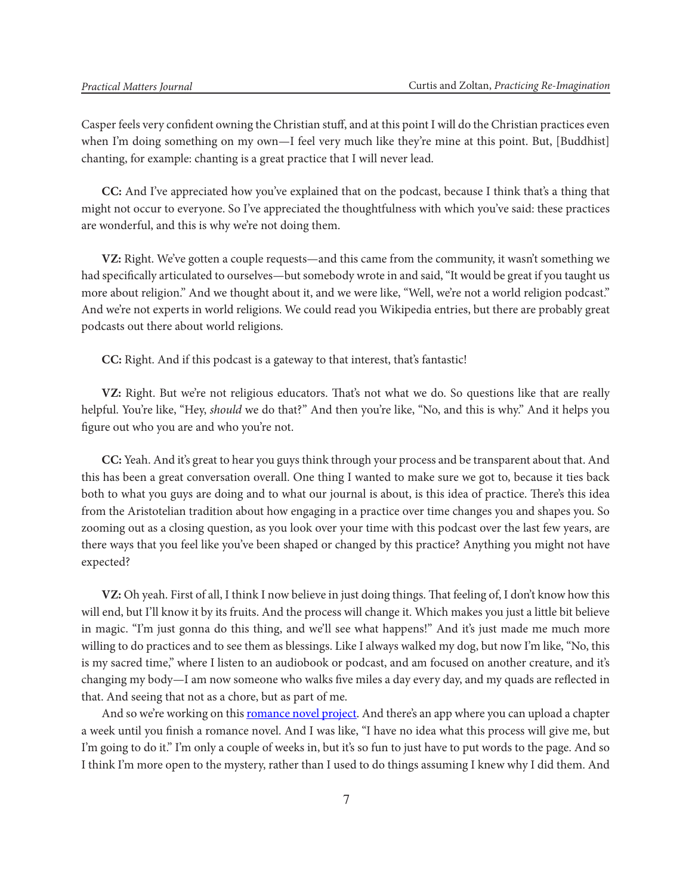Casper feels very confident owning the Christian stuff, and at this point I will do the Christian practices even when I'm doing something on my own—I feel very much like they're mine at this point. But, [Buddhist] chanting, for example: chanting is a great practice that I will never lead.

**CC:** And I've appreciated how you've explained that on the podcast, because I think that's a thing that might not occur to everyone. So I've appreciated the thoughtfulness with which you've said: these practices are wonderful, and this is why we're not doing them.

**VZ:** Right. We've gotten a couple requests—and this came from the community, it wasn't something we had specifically articulated to ourselves—but somebody wrote in and said, "It would be great if you taught us more about religion." And we thought about it, and we were like, "Well, we're not a world religion podcast." And we're not experts in world religions. We could read you Wikipedia entries, but there are probably great podcasts out there about world religions.

**CC:** Right. And if this podcast is a gateway to that interest, that's fantastic!

**VZ:** Right. But we're not religious educators. That's not what we do. So questions like that are really helpful. You're like, "Hey, *should* we do that?" And then you're like, "No, and this is why." And it helps you figure out who you are and who you're not.

**CC:** Yeah. And it's great to hear you guys think through your process and be transparent about that. And this has been a great conversation overall. One thing I wanted to make sure we got to, because it ties back both to what you guys are doing and to what our journal is about, is this idea of practice. There's this idea from the Aristotelian tradition about how engaging in a practice over time changes you and shapes you. So zooming out as a closing question, as you look over your time with this podcast over the last few years, are there ways that you feel like you've been shaped or changed by this practice? Anything you might not have expected?

**VZ:** Oh yeah. First of all, I think I now believe in just doing things. That feeling of, I don't know how this will end, but I'll know it by its fruits. And the process will change it. Which makes you just a little bit believe in magic. "I'm just gonna do this thing, and we'll see what happens!" And it's just made me much more willing to do practices and to see them as blessings. Like I always walked my dog, but now I'm like, "No, this is my sacred time," where I listen to an audiobook or podcast, and am focused on another creature, and it's changing my body—I am now someone who walks five miles a day every day, and my quads are reflected in that. And seeing that not as a chore, but as part of me.

And so we're working on this romance novel project. And there's an app where you can upload a chapter a week until you finish a romance novel. And I was like, "I have no idea what this process will give me, but I'm going to do it." I'm only a couple of weeks in, but it's so fun to just have to put words to the page. And so I think I'm more open to the mystery, rather than I used to do things assuming I knew why I did them. And